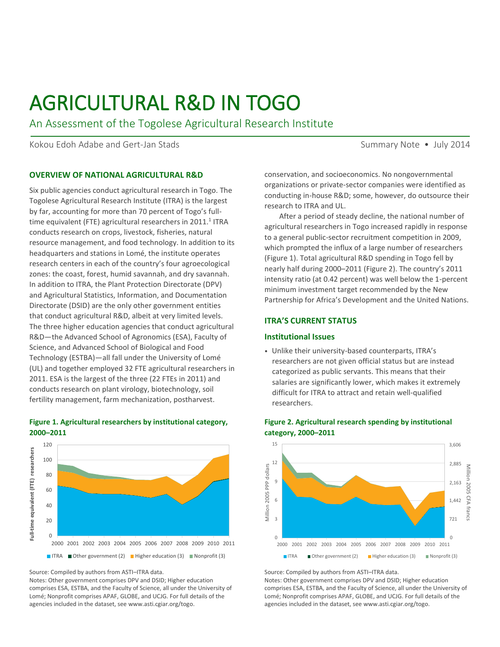# AGRICULTURAL R&D IN TOGO

An Assessment of the Togolese Agricultural Research Institute

Kokou Edoh Adabe and Gert-Jan Stads Summary Note • July 2014

#### **OVERVIEW OF NATIONAL AGRICULTURAL R&D**

Six public agencies conduct agricultural research in Togo. The Togolese Agricultural Research Institute (ITRA) is the largest by far, accounting for more than 70 percent of Togo's fulltime equivalent (FTE) agricultural researchers in 2011.<sup>1</sup> ITRA conducts research on crops, livestock, fisheries, natural resource management, and food technology. In addition to its headquarters and stations in Lomé, the institute operates research centers in each of the country's four agroecological zones: the coast, forest, humid savannah, and dry savannah. In addition to ITRA, the Plant Protection Directorate (DPV) and Agricultural Statistics, Information, and Documentation Directorate (DSID) are the only other government entities that conduct agricultural R&D, albeit at very limited levels. The three higher education agencies that conduct agricultural R&D—the Advanced School of Agronomics (ESA), Faculty of Science, and Advanced School of Biological and Food Technology (ESTBA)—all fall under the University of Lomé (UL) and together employed 32 FTE agricultural researchers in 2011. ESA is the largest of the three (22 FTEs in 2011) and conducts research on plant virology, biotechnology, soil fertility management, farm mechanization, postharvest.





Source: Compiled by authors from ASTI–ITRA data.

Notes: Other government comprises DPV and DSID; Higher education comprises ESA, ESTBA, and the Faculty of Science, all under the University of Lomé; Nonprofit comprises APAF, GLOBE, and UCJG. For full details of the agencies included in the dataset, see www.asti.cgiar.org/togo.

conservation, and socioeconomics. No nongovernmental organizations or private-sector companies were identified as conducting in-house R&D; some, however, do outsource their research to ITRA and UL.

After a period of steady decline, the national number of agricultural researchers in Togo increased rapidly in response to a general public-sector recruitment competition in 2009, which prompted the influx of a large number of researchers (Figure 1). Total agricultural R&D spending in Togo fell by nearly half during 2000–2011 (Figure 2). The country's 2011 intensity ratio (at 0.42 percent) was well below the 1-percent minimum investment target recommended by the New Partnership for Africa's Development and the United Nations.

#### **ITRA'S CURRENT STATUS**

#### **Institutional Issues**

• Unlike their university-based counterparts, ITRA's researchers are not given official status but are instead categorized as public servants. This means that their salaries are significantly lower, which makes it extremely difficult for ITRA to attract and retain well-qualified researchers.



#### **Figure 2. Agricultural research spending by institutional category, 2000–2011**

Source: Compiled by authors from ASTI–ITRA data.

Notes: Other government comprises DPV and DSID; Higher education comprises ESA, ESTBA, and the Faculty of Science, all under the University of Lomé; Nonprofit comprises APAF, GLOBE, and UCJG. For full details of the agencies included in the dataset, see www.asti.cgiar.org/togo.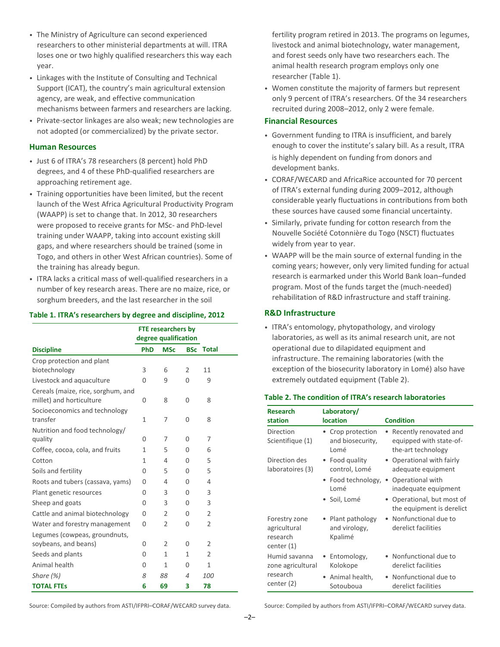- The Ministry of Agriculture can second experienced researchers to other ministerial departments at will. ITRA loses one or two highly qualified researchers this way each year.
- Linkages with the Institute of Consulting and Technical Support (ICAT), the country's main agricultural extension agency, are weak, and effective communication mechanisms between farmers and researchers are lacking.
- Private-sector linkages are also weak; new technologies are not adopted (or commercialized) by the private sector.

#### **Human Resources**

- Just 6 of ITRA's 78 researchers (8 percent) hold PhD degrees, and 4 of these PhD-qualified researchers are approaching retirement age.
- Training opportunities have been limited, but the recent launch of the West Africa Agricultural Productivity Program (WAAPP) is set to change that. In 2012, 30 researchers were proposed to receive grants for MSc- and PhD-level training under WAAPP, taking into account existing skill gaps, and where researchers should be trained (some in Togo, and others in other West African countries). Some of the training has already begun.
- ITRA lacks a critical mass of well-qualified researchers in a number of key research areas. There are no maize, rice, or sorghum breeders, and the last researcher in the soil

#### **Table 1. ITRA's researchers by degree and discipline, 2012**

|                                                                |            | <b>FTE researchers by</b><br>degree qualification |            |                |
|----------------------------------------------------------------|------------|---------------------------------------------------|------------|----------------|
| <b>Discipline</b>                                              | <b>PhD</b> | <b>MSc</b>                                        | <b>BSc</b> | <b>Total</b>   |
| Crop protection and plant                                      |            |                                                   |            |                |
| biotechnology                                                  | 3          | 6                                                 | 2          | 11             |
| Livestock and aquaculture                                      | $\Omega$   | 9                                                 | $\Omega$   | 9              |
| Cereals (maize, rice, sorghum, and<br>millet) and horticulture | $\Omega$   | 8                                                 | 0          | 8              |
| Socioeconomics and technology                                  |            |                                                   |            |                |
| transfer                                                       | 1          | 7                                                 | 0          | 8              |
| Nutrition and food technology/                                 |            |                                                   |            |                |
| quality                                                        | $\Omega$   | 7                                                 | $\Omega$   | 7              |
| Coffee, cocoa, cola, and fruits                                | 1          | 5                                                 | 0          | 6              |
| Cotton                                                         | 1          | 4                                                 | 0          | 5              |
| Soils and fertility                                            | $\Omega$   | 5                                                 | 0          | 5              |
| Roots and tubers (cassava, yams)                               | 0          | 4                                                 | $\Omega$   | 4              |
| Plant genetic resources                                        | $\Omega$   | 3                                                 | $\Omega$   | 3              |
| Sheep and goats                                                | $\Omega$   | 3                                                 | $\Omega$   | 3              |
| Cattle and animal biotechnology                                | 0          | $\overline{2}$                                    | 0          | $\overline{2}$ |
| Water and forestry management                                  | 0          | 2                                                 | 0          | $\overline{2}$ |
| Legumes (cowpeas, groundnuts,                                  |            |                                                   |            |                |
| soybeans, and beans)                                           | 0          | 2                                                 | 0          | $\overline{2}$ |
| Seeds and plants                                               | 0          | 1                                                 | 1          | $\overline{2}$ |
| Animal health                                                  | 0          | 1                                                 | 0          | $\mathbf{1}$   |
| Share $(\%)$                                                   | 8          | 88                                                | 4          | 100            |
| <b>TOTAL FTES</b>                                              | 6          | 69                                                | 3          | 78             |

fertility program retired in 2013. The programs on legumes, livestock and animal biotechnology, water management, and forest seeds only have two researchers each. The animal health research program employs only one researcher (Table 1).

• Women constitute the majority of farmers but represent only 9 percent of ITRA's researchers. Of the 34 researchers recruited during 2008–2012, only 2 were female.

## **Financial Resources**

- Government funding to ITRA is insufficient, and barely enough to cover the institute's salary bill. As a result, ITRA is highly dependent on funding from donors and development banks.
- CORAF/WECARD and AfricaRice accounted for 70 percent of ITRA's external funding during 2009–2012, although considerable yearly fluctuations in contributions from both these sources have caused some financial uncertainty.
- Similarly, private funding for cotton research from the Nouvelle Société Cotonnière du Togo (NSCT) fluctuates widely from year to year.
- WAAPP will be the main source of external funding in the coming years; however, only very limited funding for actual research is earmarked under this World Bank loan–funded program. Most of the funds target the (much-needed) rehabilitation of R&D infrastructure and staff training.

### **R&D Infrastructure**

• ITRA's entomology, phytopathology, and virology laboratories, as well as its animal research unit, are not operational due to dilapidated equipment and infrastructure. The remaining laboratories (with the exception of the biosecurity laboratory in Lomé) also have extremely outdated equipment (Table 2).

| <b>Research</b><br>station                              | Laboratory/<br><b>location</b>              | <b>Condition</b>                                                          |  |  |  |
|---------------------------------------------------------|---------------------------------------------|---------------------------------------------------------------------------|--|--|--|
| Direction<br>Scientifique (1)                           | Crop protection<br>and biosecurity,<br>Lomé | • Recently renovated and<br>equipped with state-of-<br>the-art technology |  |  |  |
| Direction des<br>laboratoires (3)                       | Food quality<br>control, Lomé               | • Operational with fairly<br>adequate equipment                           |  |  |  |
|                                                         | Food technology,<br>۰<br>Lomé               | • Operational with<br>inadequate equipment                                |  |  |  |
|                                                         | • Soil, Lomé                                | • Operational, but most of<br>the equipment is derelict                   |  |  |  |
| Forestry zone<br>agricultural<br>research<br>center (1) | Plant pathology<br>and virology,<br>Kpalimé | • Nonfunctional due to<br>derelict facilities                             |  |  |  |
| Humid savanna<br>zone agricultural                      | Entomology,<br>Kolokope                     | • Nonfunctional due to<br>derelict facilities                             |  |  |  |
| research<br>center (2)                                  | Animal health,<br>Sotouboua                 | • Nonfunctional due to<br>derelict facilities                             |  |  |  |

#### **Table 2. The condition of ITRA's research laboratories**

Source: Compiled by authors from ASTI/IFPRI–CORAF/WECARD survey data.

Source: Compiled by authors from ASTI/IFPRI–CORAF/WECARD survey data.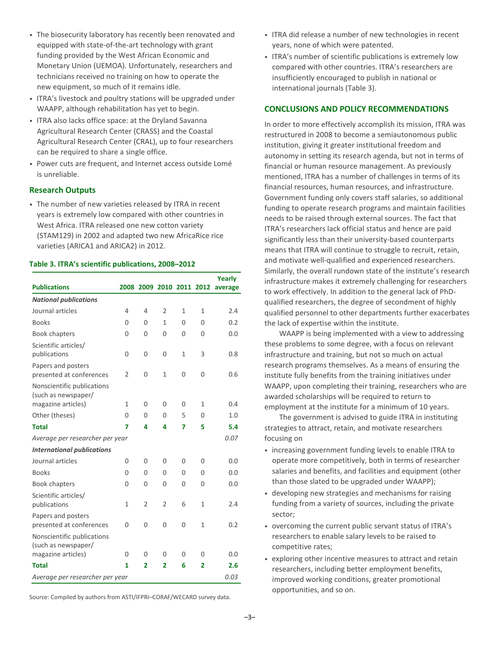- The biosecurity laboratory has recently been renovated and equipped with state-of-the-art technology with grant funding provided by the West African Economic and Monetary Union (UEMOA). Unfortunately, researchers and technicians received no training on how to operate the new equipment, so much of it remains idle.
- ITRA's livestock and poultry stations will be upgraded under WAAPP, although rehabilitation has yet to begin.
- ITRA also lacks office space: at the Dryland Savanna Agricultural Research Center (CRASS) and the Coastal Agricultural Research Center (CRAL), up to four researchers can be required to share a single office.
- Power cuts are frequent, and Internet access outside Lomé is unreliable.

## **Research Outputs**

• The number of new varieties released by ITRA in recent years is extremely low compared with other countries in West Africa. ITRA released one new cotton variety (STAM129) in 2002 and adapted two new AfricaRice rice varieties (ARICA1 and ARICA2) in 2012.

## **Table 3. ITRA's scientific publications, 2008–2012**

|                                                   |                |                          |                |              |              | Yearly  |
|---------------------------------------------------|----------------|--------------------------|----------------|--------------|--------------|---------|
| <b>Publications</b>                               |                | 2008 2009 2010 2011 2012 |                |              |              | average |
| <b>National publications</b>                      |                |                          |                |              |              |         |
| Journal articles                                  | 4              | 4                        | $\overline{2}$ | 1            | $\mathbf{1}$ | 2.4     |
| <b>Books</b>                                      | 0              | 0                        | 1              | $\Omega$     | 0            | 0.2     |
| <b>Book chapters</b>                              | 0              | 0                        | 0              | $\Omega$     | O            | 0.0     |
| Scientific articles/<br>publications              | 0              | 0                        | $\Omega$       | $\mathbf{1}$ | 3            | 0.8     |
| Papers and posters<br>presented at conferences    | $\overline{2}$ | 0                        | 1              | 0            | 0            | 0.6     |
| Nonscientific publications<br>(such as newspaper/ |                |                          |                |              |              |         |
| magazine articles)                                | $\mathbf{1}$   | 0                        | 0              | $\Omega$     | $\mathbf{1}$ | 0.4     |
| Other (theses)                                    | $\overline{0}$ | 0                        | 0              | 5            | 0            | 1.0     |
| <b>Total</b>                                      | 7              | 4                        | 4              | 7            | 5            | 5.4     |
| Average per researcher per year                   |                |                          |                |              |              | 0.07    |
| <b>International publications</b>                 |                |                          |                |              |              |         |
| Journal articles                                  | 0              | 0                        | $\Omega$       | 0            | 0            | 0.0     |
| <b>Books</b>                                      | $\Omega$       | 0                        | 0              | 0            | 0            | 0.0     |
| <b>Book chapters</b>                              | 0              | 0                        | $\Omega$       | 0            | O            | 0.0     |
| Scientific articles/<br>publications              | 1              | $\overline{2}$           | $\overline{2}$ | 6            | 1            | 2.4     |
| Papers and posters<br>presented at conferences    | 0              | $\Omega$                 | 0              | 0            | $\mathbf{1}$ | 0.2     |
| Nonscientific publications<br>(such as newspaper/ |                |                          |                |              |              |         |
| magazine articles)                                | 0              | 0                        | $\Omega$       | 0            | 0            | 0.0     |
| <b>Total</b>                                      | 1              | $\overline{2}$           | 2              | 6            | 2            | 2.6     |
| 0.03<br>Average per researcher per year           |                |                          |                |              |              |         |

Source: Compiled by authors from ASTI/IFPRI–CORAF/WECARD survey data.

- ITRA did release a number of new technologies in recent years, none of which were patented.
- ITRA's number of scientific publications is extremely low compared with other countries. ITRA's researchers are insufficiently encouraged to publish in national or international journals (Table 3).

## **CONCLUSIONS AND POLICY RECOMMENDATIONS**

In order to more effectively accomplish its mission, ITRA was restructured in 2008 to become a semiautonomous public institution, giving it greater institutional freedom and autonomy in setting its research agenda, but not in terms of financial or human resource management. As previously mentioned, ITRA has a number of challenges in terms of its financial resources, human resources, and infrastructure. Government funding only covers staff salaries, so additional funding to operate research programs and maintain facilities needs to be raised through external sources. The fact that ITRA's researchers lack official status and hence are paid significantly less than their university-based counterparts means that ITRA will continue to struggle to recruit, retain, and motivate well-qualified and experienced researchers. Similarly, the overall rundown state of the institute's research infrastructure makes it extremely challenging for researchers to work effectively. In addition to the general lack of PhDqualified researchers, the degree of secondment of highly qualified personnel to other departments further exacerbates the lack of expertise within the institute.

WAAPP is being implemented with a view to addressing these problems to some degree, with a focus on relevant infrastructure and training, but not so much on actual research programs themselves. As a means of ensuring the institute fully benefits from the training initiatives under WAAPP, upon completing their training, researchers who are awarded scholarships will be required to return to employment at the institute for a minimum of 10 years.

The government is advised to guide ITRA in instituting strategies to attract, retain, and motivate researchers focusing on

- increasing government funding levels to enable ITRA to operate more competitively, both in terms of researcher salaries and benefits, and facilities and equipment (other than those slated to be upgraded under WAAPP);
- developing new strategies and mechanisms for raising funding from a variety of sources, including the private sector;
- overcoming the current public servant status of ITRA's researchers to enable salary levels to be raised to competitive rates;
- exploring other incentive measures to attract and retain researchers, including better employment benefits, improved working conditions, greater promotional opportunities, and so on.